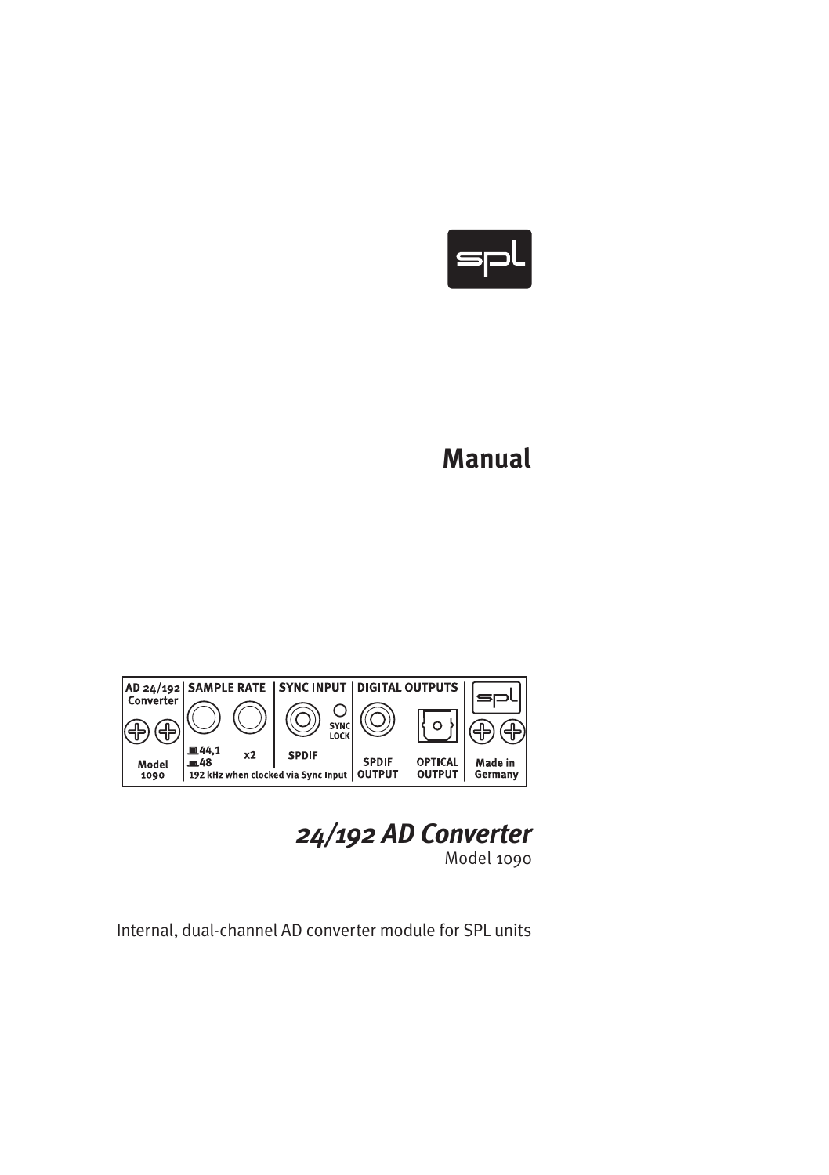

# **Manual**



*24/192 AD Converter*

Model 1090

Internal, dual-channel AD converter module for SPL units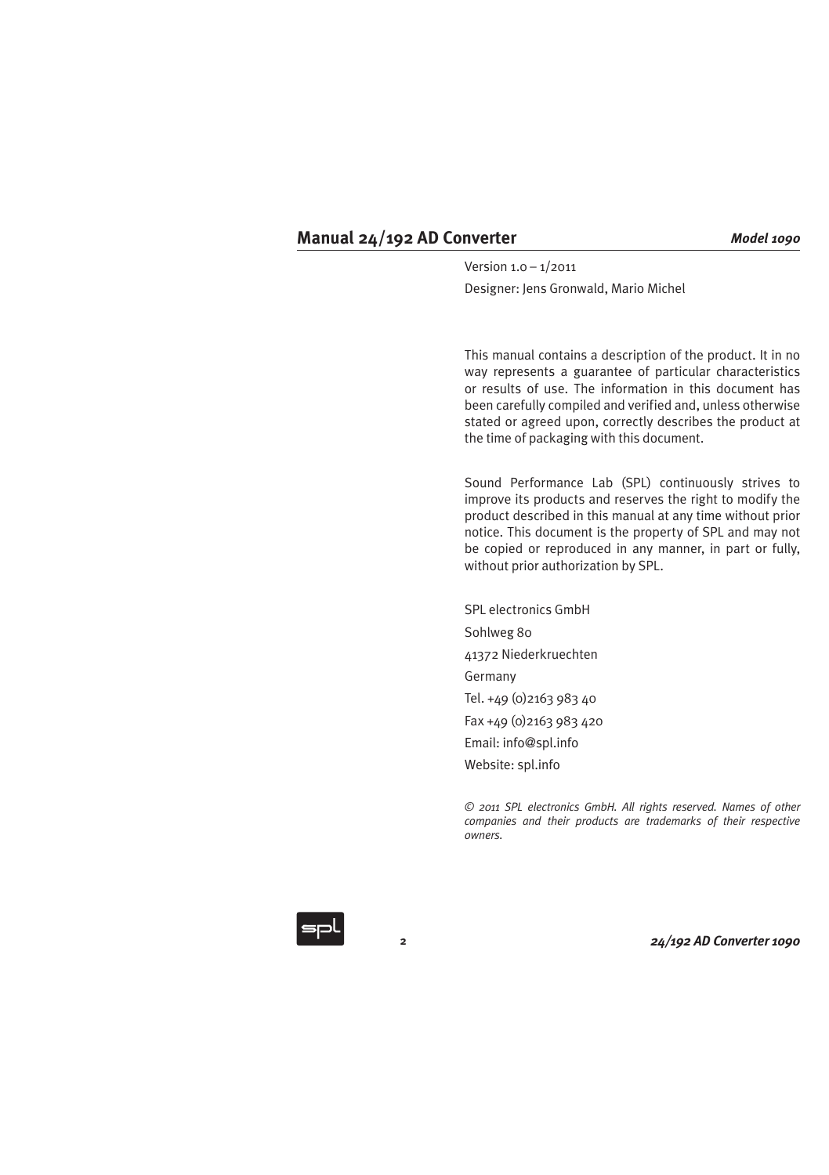Version 1.0 – 1/2011 Designer: Jens Gronwald, Mario Michel

This manual contains a description of the product. It in no way represents a guarantee of particular characteristics or results of use. The information in this document has been carefully compiled and verified and, unless otherwise stated or agreed upon, correctly describes the product at the time of packaging with this document.

Sound Performance Lab (SPL) continuously strives to improve its products and reserves the right to modify the product described in this manual at any time without prior notice. This document is the property of SPL and may not be copied or reproduced in any manner, in part or fully, without prior authorization by SPL.

SPL electronics GmbH Sohlweg 80 41372 Niederkruechten Germany Tel. +49 (0)2163 983 40 Fax +49 (0)2163 983 420 Email: info@spl.info Website: spl.info

*© 2011 SPL electronics GmbH. All rights reserved. Names of other companies and their products are trademarks of their respective owners.*

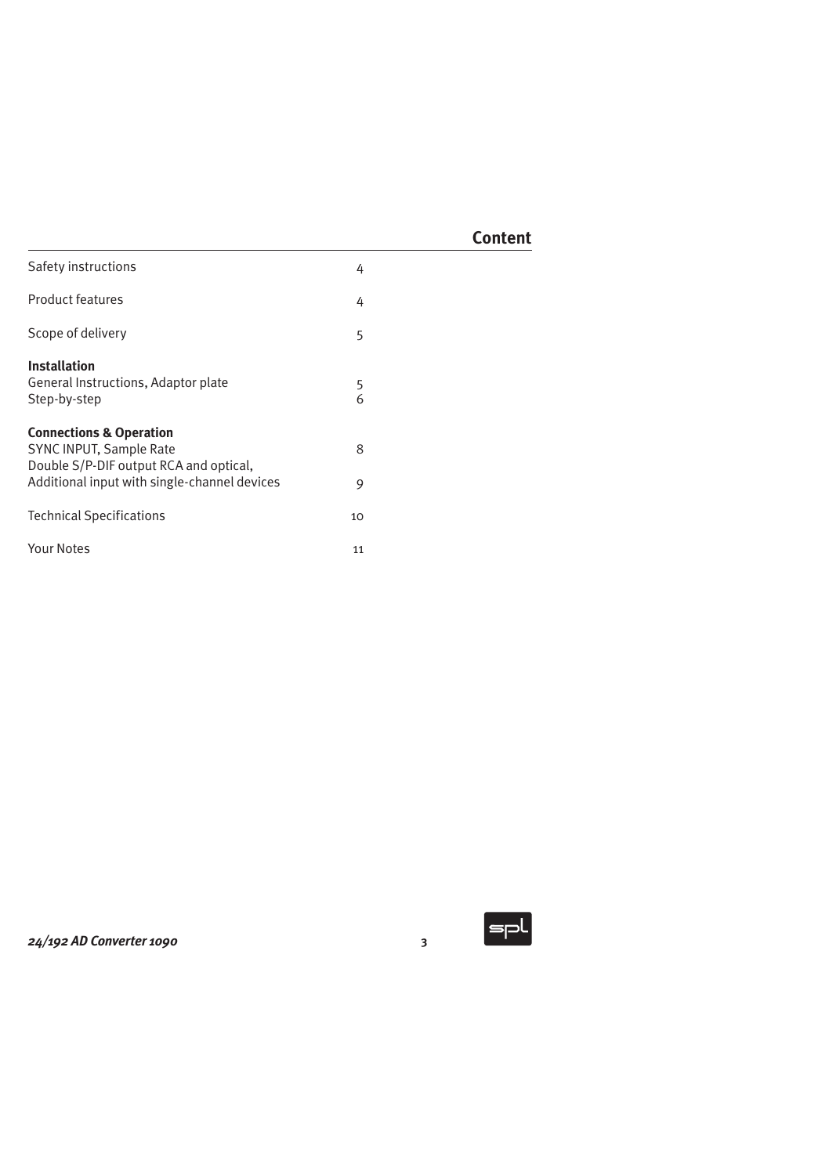| Safety instructions                                                                                                                                     | 4      |
|---------------------------------------------------------------------------------------------------------------------------------------------------------|--------|
| <b>Product features</b>                                                                                                                                 | 4      |
| Scope of delivery                                                                                                                                       | 5      |
| <b>Installation</b><br>General Instructions, Adaptor plate<br>Step-by-step                                                                              | 5<br>6 |
| <b>Connections &amp; Operation</b><br>SYNC INPUT, Sample Rate<br>Double S/P-DIF output RCA and optical,<br>Additional input with single-channel devices | 8<br>9 |
| <b>Technical Specifications</b>                                                                                                                         | 10     |
| Your Notes                                                                                                                                              | 11     |

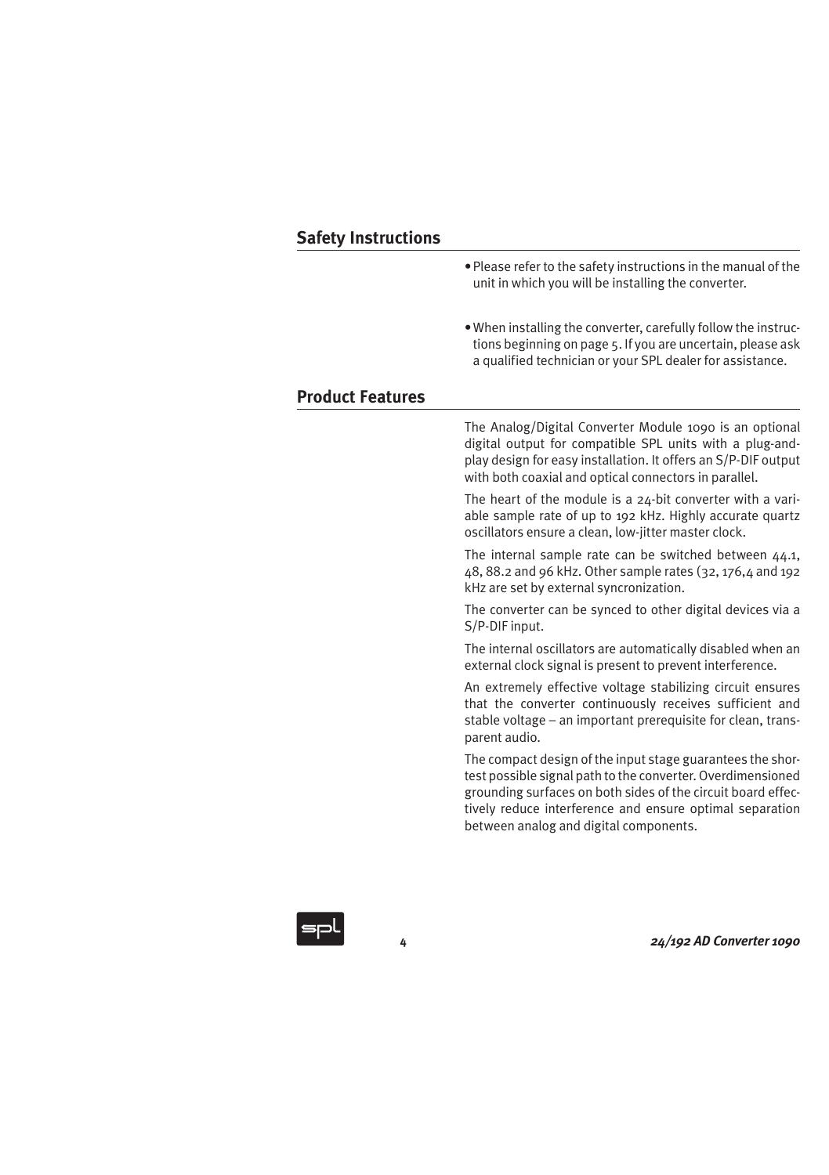- Please refer to the safety instructions in the manual of the unit in which you will be installing the converter.
- When installing the converter, carefully follow the instructions beginning on page 5. If you are uncertain, please ask a qualified technician or your SPL dealer for assistance.

# **Product Features**

The Analog/Digital Converter Module 1090 is an optional digital output for compatible SPL units with a plug-andplay design for easy installation. It offers an S/P-DIF output with both coaxial and optical connectors in parallel.

The heart of the module is a  $24$ -bit converter with a variable sample rate of up to 192 kHz. Highly accurate quartz oscillators ensure a clean, low-jitter master clock.

The internal sample rate can be switched between 44.1, 48, 88.2 and 96 kHz. Other sample rates (32, 176,4 and 192 kHz are set by external syncronization.

The converter can be synced to other digital devices via a S/P-DIF input.

The internal oscillators are automatically disabled when an external clock signal is present to prevent interference.

An extremely effective voltage stabilizing circuit ensures that the converter continuously receives sufficient and stable voltage – an important prerequisite for clean, transparent audio.

The compact design of the input stage guarantees the shortest possible signal path to the converter. Overdimensioned grounding surfaces on both sides of the circuit board effectively reduce interference and ensure optimal separation between analog and digital components.

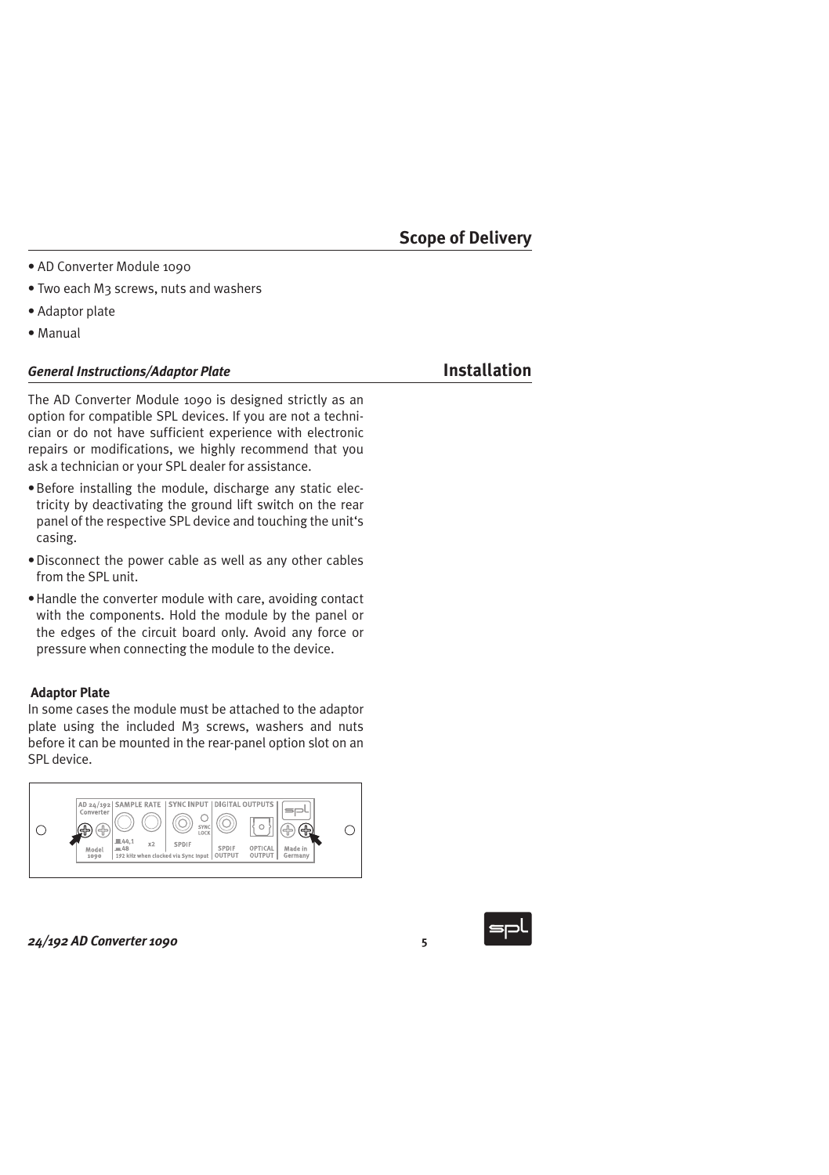- AD Converter Module 1090
- Two each M3 screws, nuts and washers
- Adaptor plate
- • Manual

# *General Instructions/Adaptor Plate* **Installation**

The AD Converter Module 1090 is designed strictly as an option for compatible SPL devices. If you are not a technician or do not have sufficient experience with electronic repairs or modifications, we highly recommend that you ask a technician or your SPL dealer for assistance.

- $\bullet$  Before installing the module, discharge any static electricity by deactivating the ground lift switch on the rear panel of the respective SPL device and touching the unit's casing.
- Disconnect the power cable as well as any other cables from the SPL unit.
- Handle the converter module with care, avoiding contact with the components. Hold the module by the panel or the edges of the circuit board only. Avoid any force or pressure when connecting the module to the device.

# **Adaptor Plate**

In some cases the module must be attached to the adaptor plate using the included M3 screws, washers and nuts before it can be mounted in the rear-panel option slot on an SPL device.



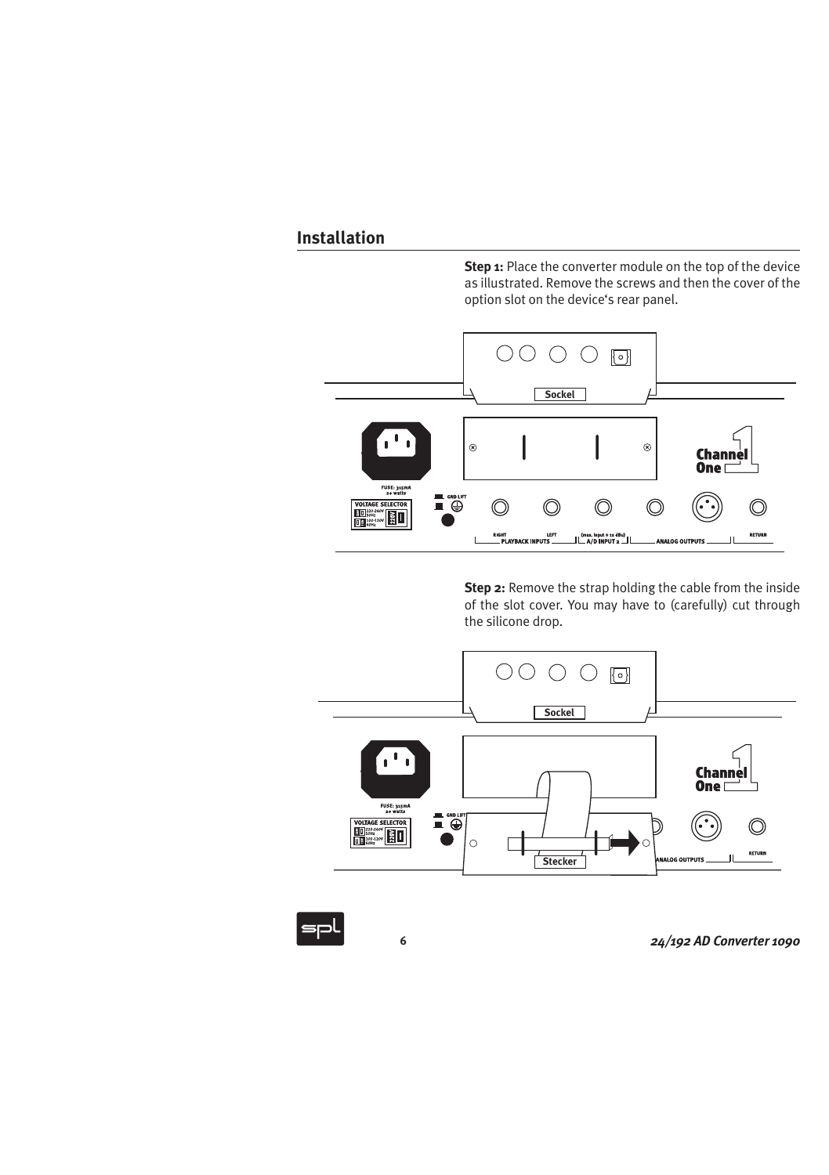**Step 1:** Place the converter module on the top of the device as illustrated. Remove the screws and then the cover of the option slot on the device's rear panel.



**Step 2:** Remove the strap holding the cable from the inside of the slot cover. You may have to (carefully) cut through the silicone drop.



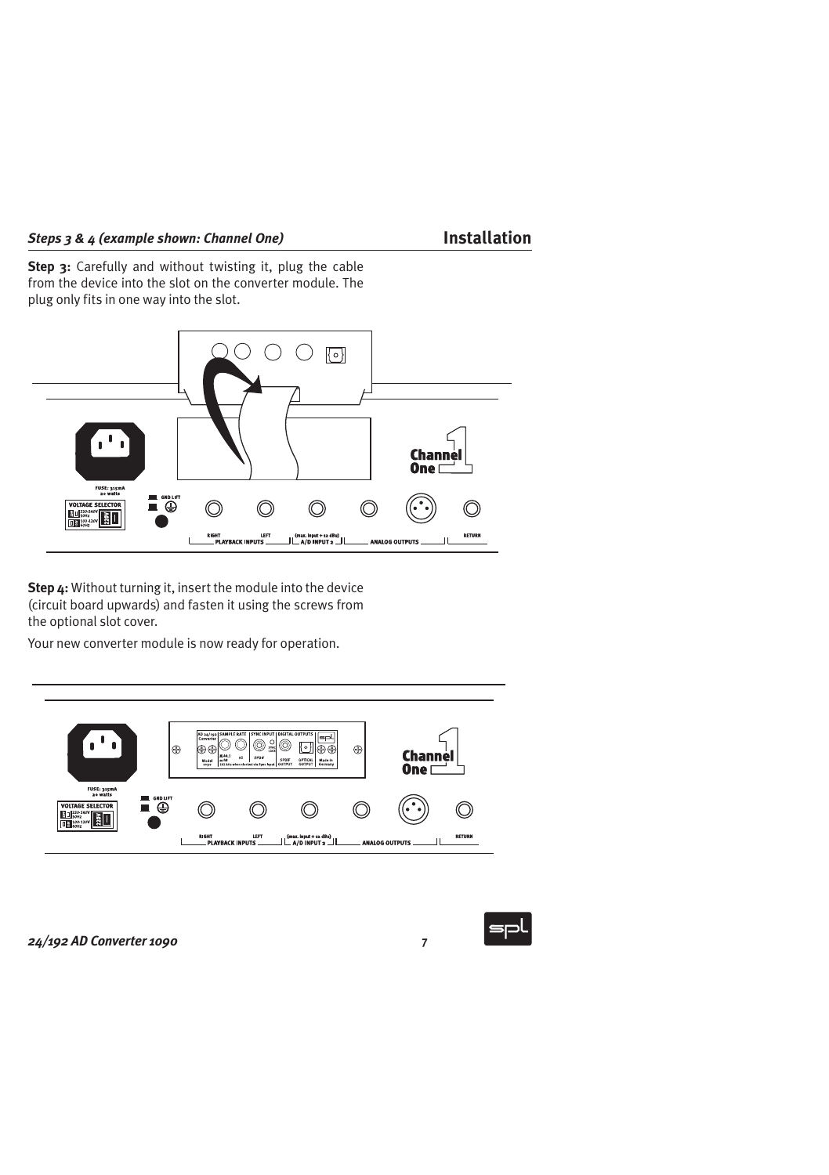**Step 3:** Carefully and without twisting it, plug the cable from the device into the slot on the converter module. The plug only fits in one way into the slot.



 **Step 4:** Without turning it, insert the module into the device (circuit board upwards) and fasten it using the screws from the optional slot cover.

Your new converter module is now ready for operation.



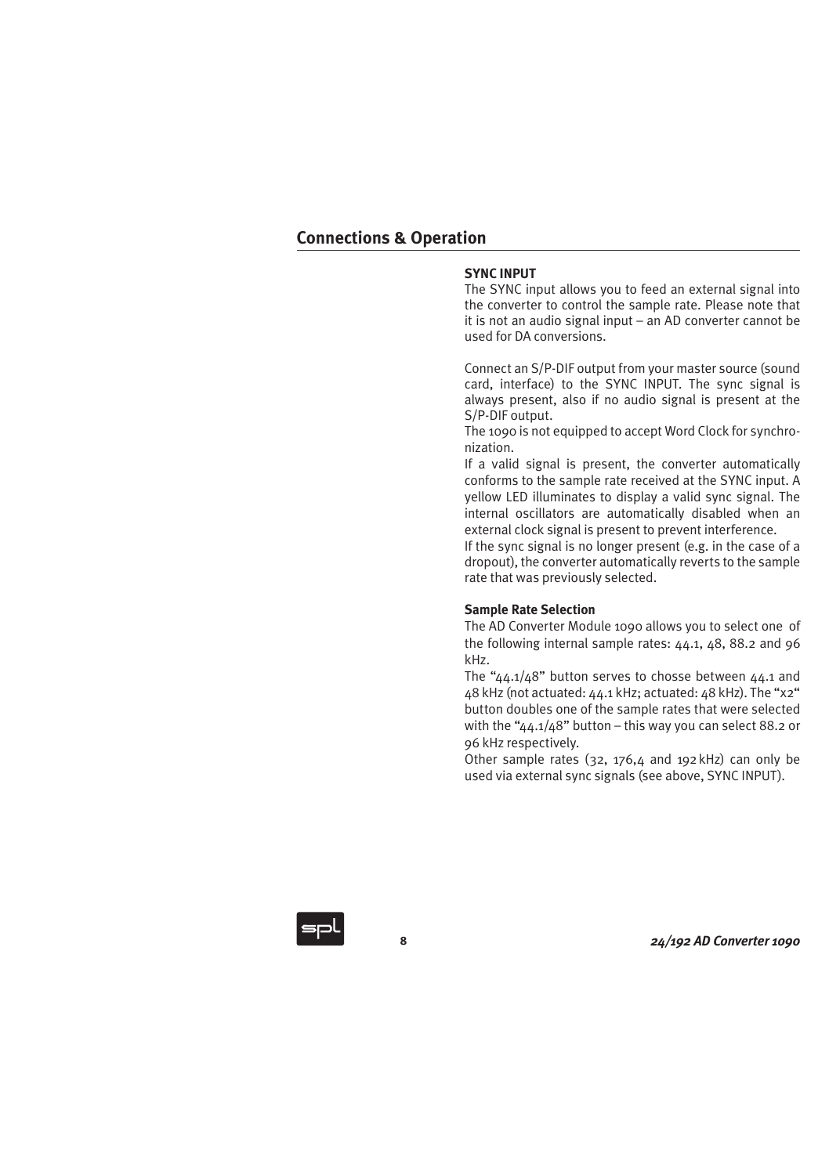# **SYNC INPUT**

The SYNC input allows you to feed an external signal into the converter to control the sample rate. Please note that it is not an audio signal input – an AD converter cannot be used for DA conversions.

Connect an S/P-DIF output from your master source (sound card, interface) to the SYNC INPUT. The sync signal is always present, also if no audio signal is present at the S/P-DIF output.

The 1090 is not equipped to accept Word Clock for synchronization.

If a valid signal is present, the converter automatically conforms to the sample rate received at the SYNC input. A yellow LED illuminates to display a valid sync signal. The internal oscillators are automatically disabled when an external clock signal is present to prevent interference.

If the sync signal is no longer present (e.g. in the case of a dropout), the converter automatically reverts to the sample rate that was previously selected.

## **Sample Rate Selection**

The AD Converter Module 1090 allows you to select one of the following internal sample rates: 44.1, 48, 88.2 and 96 kHz.

The "44.1/48" button serves to chosse between 44.1 and 48 kHz (not actuated: 44.1 kHz; actuated: 48 kHz). The "x2" button doubles one of the sample rates that were selected with the " $\Delta\Delta$ ,1/ $\Delta$ 8" button – this way you can select 88.2 or 96 kHz respectively.

Other sample rates (32, 176,4 and 192kHz) can only be used via external sync signals (see above, SYNC INPUT).

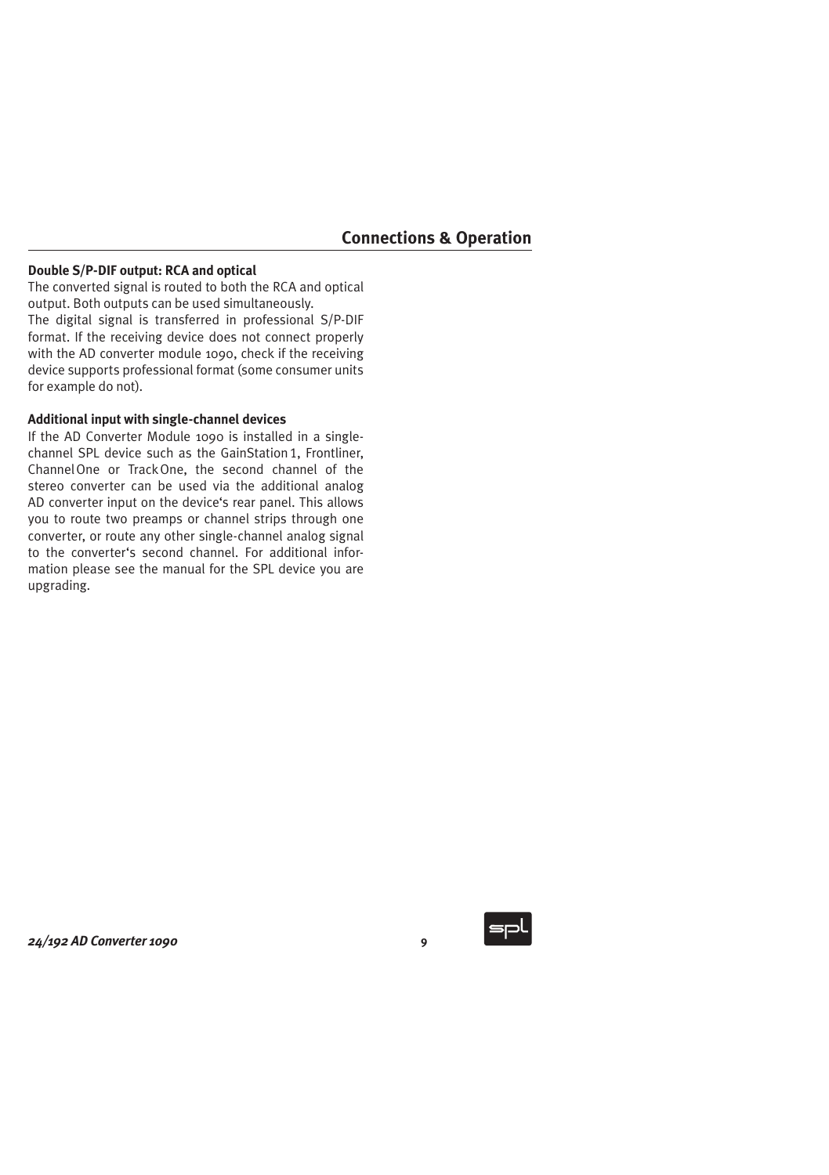# **Double S/P-DIF output: RCA and optical**

The converted signal is routed to both the RCA and optical output. Both outputs can be used simultaneously. The digital signal is transferred in professional S/P-DIF format. If the receiving device does not connect properly with the AD converter module 1090, check if the receiving device supports professional format (some consumer units for example do not).

### **Additional input with single-channel devices**

If the AD Converter Module 1090 is installed in a singlechannel SPL device such as the GainStation 1, Frontliner, ChannelOne or TrackOne, the second channel of the stereo converter can be used via the additional analog AD converter input on the device's rear panel. This allows you to route two preamps or channel strips through one converter, or route any other single-channel analog signal to the converter's second channel. For additional information please see the manual for the SPL device you are upgrading.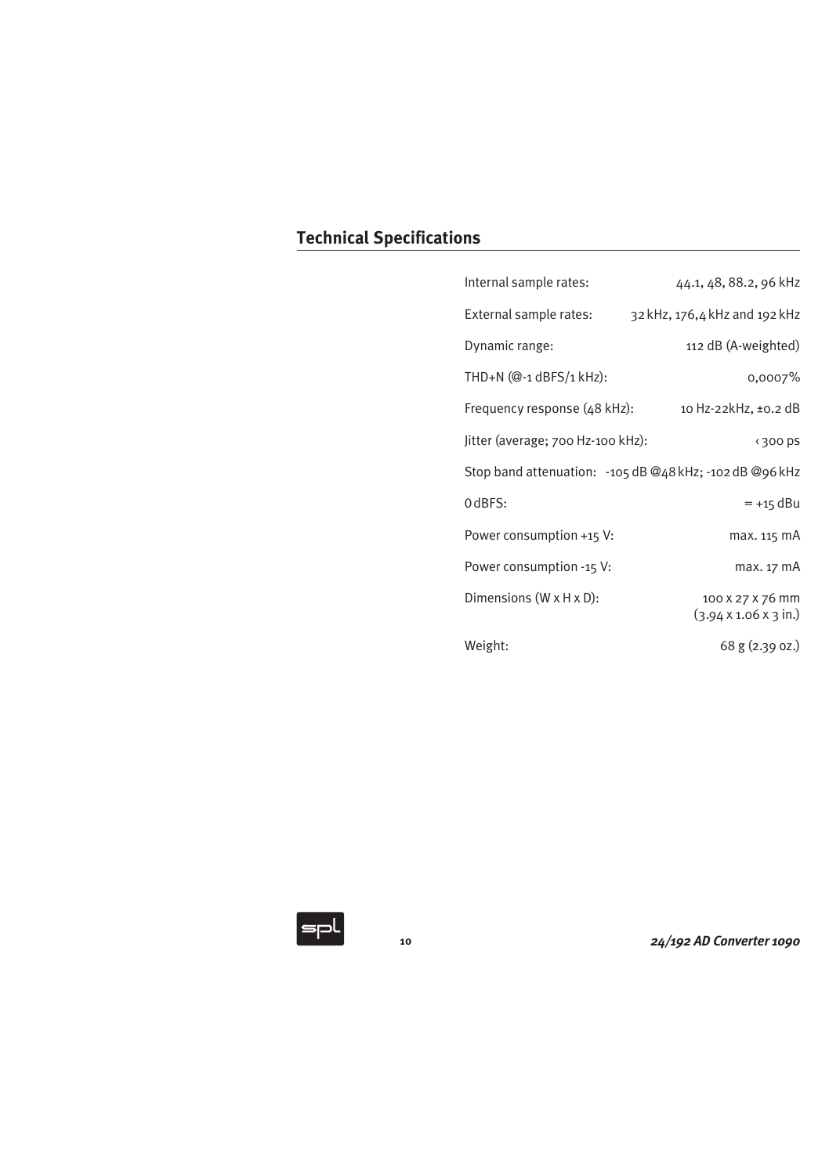| Internal sample rates:                                    | 44.1, 48, 88.2, 96 kHz                                        |  |  |
|-----------------------------------------------------------|---------------------------------------------------------------|--|--|
| External sample rates:                                    | 32 kHz, 176,4 kHz and 192 kHz                                 |  |  |
| Dynamic range:                                            | 112 dB (A-weighted)                                           |  |  |
| THD+N (@-1 dBFS/1 kHz):                                   | 0,0007%                                                       |  |  |
| Frequency response (48 kHz):                              | 10 Hz-22kHz, ±0.2 dB                                          |  |  |
| Jitter (average; 700 Hz-100 kHz):                         | <300 ps                                                       |  |  |
| Stop band attenuation: - 105 dB @48 kHz; - 102 dB @96 kHz |                                                               |  |  |
| 0 dBFS:                                                   | $= +15$ dBu                                                   |  |  |
| Power consumption +15 V:                                  | max. 115 mA                                                   |  |  |
| Power consumption -15 V:                                  | max. 17 mA                                                    |  |  |
| Dimensions (W x H x D):                                   | 100 X 27 X 76 mm<br>$(3.94 \times 1.06 \times 3 \text{ in.})$ |  |  |
| Weight:                                                   | $68$ g $(2.39)$ oz.)                                          |  |  |

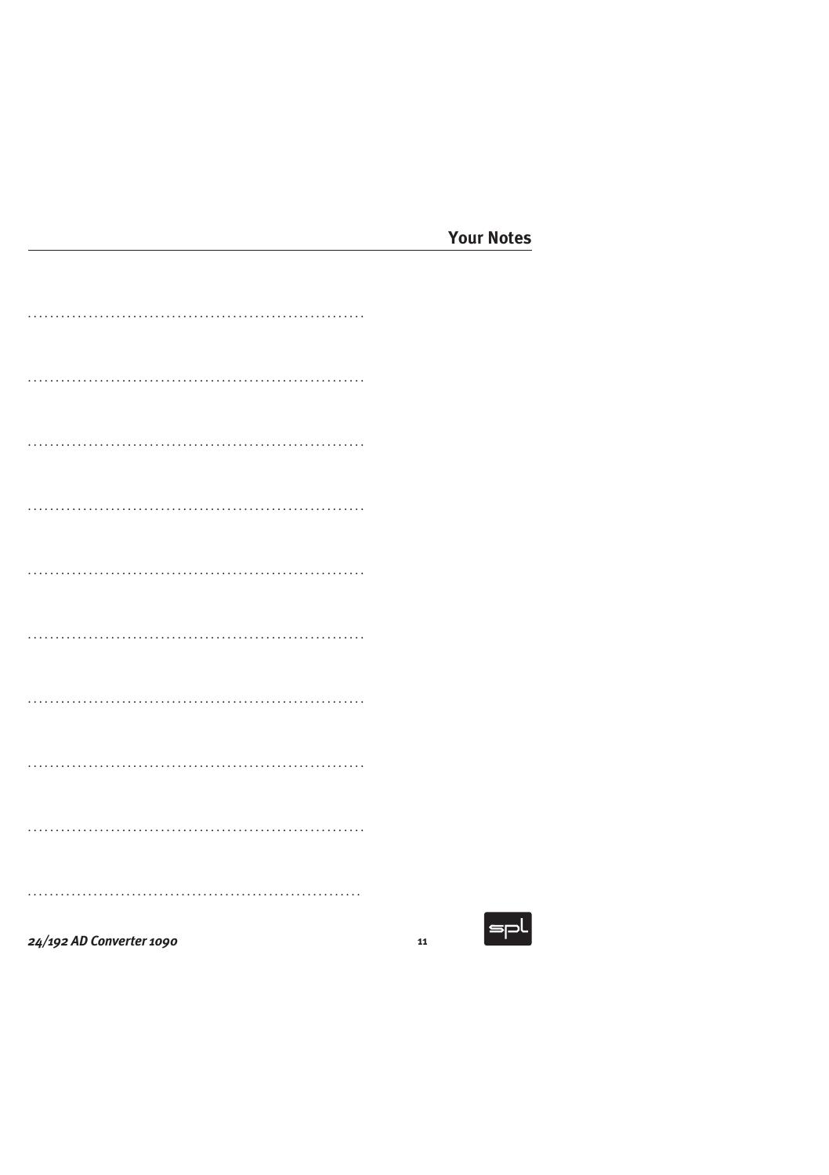